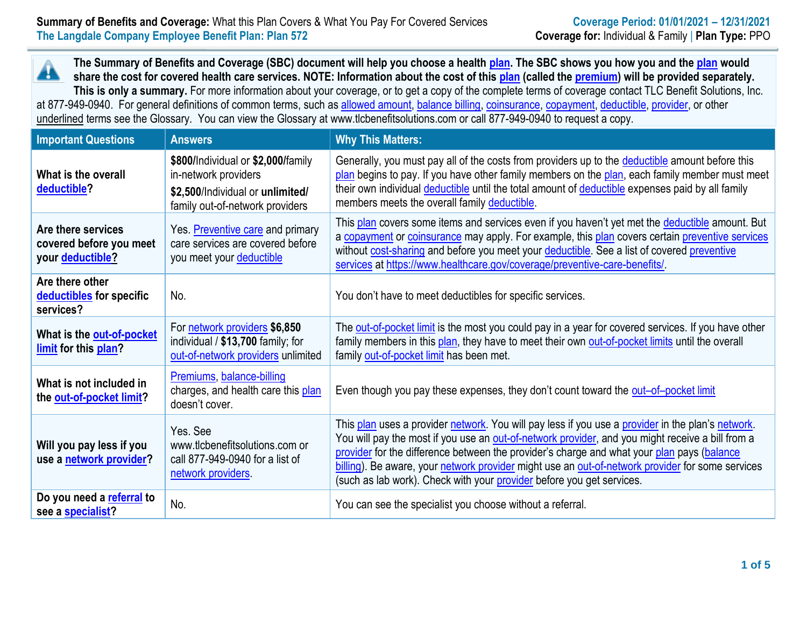**The Summary of Benefits and Coverage (SBC) document will help you choose a health [plan.](https://www.healthcare.gov/sbc-glossary/#plan) The SBC shows you how you and th[e plan](https://www.healthcare.gov/sbc-glossary/#plan) would** Â **share the cost for covered health care services. NOTE: Information about the cost of this [plan](https://www.healthcare.gov/sbc-glossary/#plan) (called the [premium\)](https://www.healthcare.gov/sbc-glossary/#premium) will be provided separately. This is only a summary.** For more information about your coverage, or to get a copy of the complete terms of coverage contact TLC Benefit Solutions, Inc. at 877-949-0940. For general definitions of common terms, such a[s allowed amount,](https://www.healthcare.gov/sbc-glossary/#allowed-amount) [balance billing,](https://www.healthcare.gov/sbc-glossary/#balance-billing) [coinsurance,](https://www.healthcare.gov/sbc-glossary/#coinsurance) [copayment,](https://www.healthcare.gov/sbc-glossary/#copayment) [deductible,](https://www.healthcare.gov/sbc-glossary/#deductible) [provider,](https://www.healthcare.gov/sbc-glossary/#provider) or other underlined terms see the Glossary. You can view the Glossary at www.tlcbenefitsolutions.com or call 877-949-0940 to request a copy.

| <b>Important Questions</b>                                               | <b>Answers</b>                                                                                                                    | <b>Why This Matters:</b>                                                                                                                                                                                                                                                                                                                                                                                                                                                         |
|--------------------------------------------------------------------------|-----------------------------------------------------------------------------------------------------------------------------------|----------------------------------------------------------------------------------------------------------------------------------------------------------------------------------------------------------------------------------------------------------------------------------------------------------------------------------------------------------------------------------------------------------------------------------------------------------------------------------|
| What is the overall<br>deductible?                                       | \$800/Individual or \$2,000/family<br>in-network providers<br>\$2,500/Individual or unlimited/<br>family out-of-network providers | Generally, you must pay all of the costs from providers up to the deductible amount before this<br>plan begins to pay. If you have other family members on the plan, each family member must meet<br>their own individual deductible until the total amount of deductible expenses paid by all family<br>members meets the overall family deductible.                                                                                                                            |
| Are there services<br>covered before you meet<br>your <b>deductible?</b> | Yes. Preventive care and primary<br>care services are covered before<br>you meet your deductible                                  | This plan covers some items and services even if you haven't yet met the deductible amount. But<br>a copayment or coinsurance may apply. For example, this plan covers certain preventive services<br>without cost-sharing and before you meet your deductible. See a list of covered preventive<br>services at https://www.healthcare.gov/coverage/preventive-care-benefits/                                                                                                    |
| Are there other<br>deductibles for specific<br>services?                 | No.                                                                                                                               | You don't have to meet deductibles for specific services.                                                                                                                                                                                                                                                                                                                                                                                                                        |
| What is the out-of-pocket<br>limit for this plan?                        | For network providers \$6,850<br>individual / \$13,700 family; for<br>out-of-network providers unlimited                          | The out-of-pocket limit is the most you could pay in a year for covered services. If you have other<br>family members in this plan, they have to meet their own out-of-pocket limits until the overall<br>family out-of-pocket limit has been met.                                                                                                                                                                                                                               |
| What is not included in<br>the out-of-pocket limit?                      | Premiums, balance-billing<br>charges, and health care this plan<br>doesn't cover.                                                 | Even though you pay these expenses, they don't count toward the out-of-pocket limit                                                                                                                                                                                                                                                                                                                                                                                              |
| Will you pay less if you<br>use a network provider?                      | Yes. See<br>www.tlcbenefitsolutions.com or<br>call 877-949-0940 for a list of<br>network providers                                | This plan uses a provider network. You will pay less if you use a provider in the plan's network.<br>You will pay the most if you use an out-of-network provider, and you might receive a bill from a<br>provider for the difference between the provider's charge and what your plan pays (balance<br>billing). Be aware, your network provider might use an out-of-network provider for some services<br>(such as lab work). Check with your provider before you get services. |
| Do you need a referral to<br>see a specialist?                           | No.                                                                                                                               | You can see the specialist you choose without a referral.                                                                                                                                                                                                                                                                                                                                                                                                                        |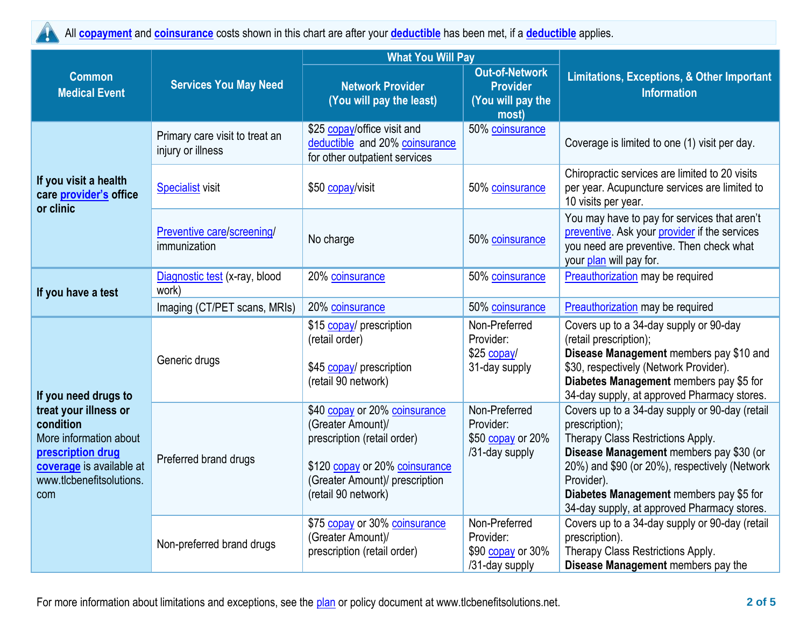

All **[copayment](https://www.healthcare.gov/sbc-glossary/#copayment)** and **[coinsurance](https://www.healthcare.gov/sbc-glossary/#coinsurance)** costs shown in this chart are after your **[deductible](https://www.healthcare.gov/sbc-glossary/#deductible)** has been met, if a **[deductible](https://www.healthcare.gov/sbc-glossary/#deductible)** applies.

|                                                                                                                                                                          |                                                     | <b>What You Will Pay</b>                                                                                                                                                     |                                                                        |                                                                                                                                                                                                                                                                                                           |  |
|--------------------------------------------------------------------------------------------------------------------------------------------------------------------------|-----------------------------------------------------|------------------------------------------------------------------------------------------------------------------------------------------------------------------------------|------------------------------------------------------------------------|-----------------------------------------------------------------------------------------------------------------------------------------------------------------------------------------------------------------------------------------------------------------------------------------------------------|--|
| <b>Common</b><br><b>Medical Event</b>                                                                                                                                    | <b>Services You May Need</b>                        | <b>Network Provider</b><br>(You will pay the least)                                                                                                                          | <b>Out-of-Network</b><br><b>Provider</b><br>(You will pay the<br>most) | <b>Limitations, Exceptions, &amp; Other Important</b><br><b>Information</b>                                                                                                                                                                                                                               |  |
| If you visit a health<br>care provider's office<br>or clinic                                                                                                             | Primary care visit to treat an<br>injury or illness | \$25 copay/office visit and<br>deductible and 20% coinsurance<br>for other outpatient services                                                                               | 50% coinsurance                                                        | Coverage is limited to one (1) visit per day.                                                                                                                                                                                                                                                             |  |
|                                                                                                                                                                          | <b>Specialist visit</b>                             | \$50 copay/visit                                                                                                                                                             | 50% coinsurance                                                        | Chiropractic services are limited to 20 visits<br>per year. Acupuncture services are limited to<br>10 visits per year.                                                                                                                                                                                    |  |
|                                                                                                                                                                          | Preventive care/screening/<br>immunization          | No charge                                                                                                                                                                    | 50% coinsurance                                                        | You may have to pay for services that aren't<br>preventive. Ask your provider if the services<br>you need are preventive. Then check what<br>your plan will pay for.                                                                                                                                      |  |
| If you have a test                                                                                                                                                       | Diagnostic test (x-ray, blood<br>work)              | 20% coinsurance                                                                                                                                                              | 50% coinsurance                                                        | Preauthorization may be required                                                                                                                                                                                                                                                                          |  |
|                                                                                                                                                                          | Imaging (CT/PET scans, MRIs)                        | 20% coinsurance                                                                                                                                                              | 50% coinsurance                                                        | Preauthorization may be required                                                                                                                                                                                                                                                                          |  |
| If you need drugs to<br>treat your illness or<br>condition<br>More information about<br>prescription drug<br>coverage is available at<br>www.tlcbenefitsolutions.<br>com | Generic drugs                                       | \$15 copay/ prescription<br>(retail order)<br>\$45 copay/ prescription<br>(retail 90 network)                                                                                | Non-Preferred<br>Provider:<br>\$25 copay/<br>31-day supply             | Covers up to a 34-day supply or 90-day<br>(retail prescription);<br>Disease Management members pay \$10 and<br>\$30, respectively (Network Provider).<br>Diabetes Management members pay \$5 for<br>34-day supply, at approved Pharmacy stores.                                                           |  |
|                                                                                                                                                                          | Preferred brand drugs                               | \$40 copay or 20% coinsurance<br>(Greater Amount)/<br>prescription (retail order)<br>\$120 copay or 20% coinsurance<br>(Greater Amount)/ prescription<br>(retail 90 network) | Non-Preferred<br>Provider:<br>\$50 copay or 20%<br>/31-day supply      | Covers up to a 34-day supply or 90-day (retail<br>prescription);<br>Therapy Class Restrictions Apply.<br>Disease Management members pay \$30 (or<br>20%) and \$90 (or 20%), respectively (Network<br>Provider).<br>Diabetes Management members pay \$5 for<br>34-day supply, at approved Pharmacy stores. |  |
|                                                                                                                                                                          | Non-preferred brand drugs                           | \$75 copay or 30% coinsurance<br>(Greater Amount)/<br>prescription (retail order)                                                                                            | Non-Preferred<br>Provider:<br>\$90 copay or 30%<br>/31-day supply      | Covers up to a 34-day supply or 90-day (retail<br>prescription).<br>Therapy Class Restrictions Apply.<br>Disease Management members pay the                                                                                                                                                               |  |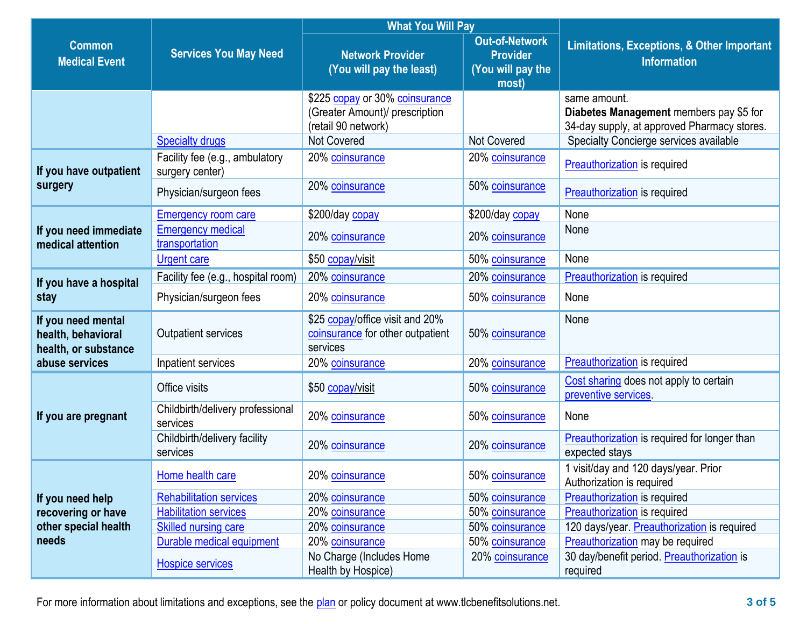|                                                                                    | <b>Services You May Need</b>                      | <b>What You Will Pay</b>                                                                |                                                                        |                                                                                                        |  |
|------------------------------------------------------------------------------------|---------------------------------------------------|-----------------------------------------------------------------------------------------|------------------------------------------------------------------------|--------------------------------------------------------------------------------------------------------|--|
| <b>Common</b><br><b>Medical Event</b>                                              |                                                   | <b>Network Provider</b><br>(You will pay the least)                                     | <b>Out-of-Network</b><br><b>Provider</b><br>(You will pay the<br>most) | <b>Limitations, Exceptions, &amp; Other Important</b><br><b>Information</b>                            |  |
|                                                                                    |                                                   | \$225 copay or 30% coinsurance<br>(Greater Amount)/ prescription<br>(retail 90 network) |                                                                        | same amount.<br>Diabetes Management members pay \$5 for<br>34-day supply, at approved Pharmacy stores. |  |
|                                                                                    | <b>Specialty drugs</b>                            | <b>Not Covered</b>                                                                      | <b>Not Covered</b>                                                     | Specialty Concierge services available                                                                 |  |
| If you have outpatient                                                             | Facility fee (e.g., ambulatory<br>surgery center) | 20% coinsurance                                                                         | 20% coinsurance                                                        | <b>Preauthorization</b> is required                                                                    |  |
| surgery                                                                            | Physician/surgeon fees                            | 20% coinsurance                                                                         | 50% coinsurance                                                        | <b>Preauthorization</b> is required                                                                    |  |
|                                                                                    | <b>Emergency room care</b>                        | \$200/day copay                                                                         | \$200/day copay                                                        | None                                                                                                   |  |
| If you need immediate<br>medical attention                                         | <b>Emergency medical</b><br>transportation        | 20% coinsurance                                                                         | 20% coinsurance                                                        | None                                                                                                   |  |
|                                                                                    | <b>Urgent care</b>                                | \$50 copay/visit                                                                        | 50% coinsurance                                                        | None                                                                                                   |  |
| If you have a hospital                                                             | Facility fee (e.g., hospital room)                | 20% coinsurance                                                                         | 20% coinsurance                                                        | <b>Preauthorization</b> is required                                                                    |  |
| stay                                                                               | Physician/surgeon fees                            | 20% coinsurance                                                                         | 50% coinsurance                                                        | None                                                                                                   |  |
| If you need mental<br>health, behavioral<br>health, or substance<br>abuse services | <b>Outpatient services</b>                        | \$25 copay/office visit and 20%<br>coinsurance for other outpatient<br>services         | 50% coinsurance                                                        | None                                                                                                   |  |
|                                                                                    | Inpatient services                                | 20% coinsurance                                                                         | 20% coinsurance                                                        | <b>Preauthorization</b> is required                                                                    |  |
| If you are pregnant                                                                | Office visits                                     | \$50 copay/visit                                                                        | 50% coinsurance                                                        | Cost sharing does not apply to certain<br>preventive services.                                         |  |
|                                                                                    | Childbirth/delivery professional<br>services      | 20% coinsurance                                                                         | 50% coinsurance                                                        | None                                                                                                   |  |
|                                                                                    | Childbirth/delivery facility<br>services          | 20% coinsurance                                                                         | 20% coinsurance                                                        | Preauthorization is required for longer than<br>expected stays                                         |  |
| If you need help<br>recovering or have<br>other special health<br>needs            | Home health care                                  | 20% coinsurance                                                                         | 50% coinsurance                                                        | 1 visit/day and 120 days/year. Prior<br>Authorization is required                                      |  |
|                                                                                    | <b>Rehabilitation services</b>                    | 20% coinsurance                                                                         | 50% coinsurance                                                        | Preauthorization is required                                                                           |  |
|                                                                                    | <b>Habilitation services</b>                      | 20% coinsurance                                                                         | 50% coinsurance                                                        | <b>Preauthorization</b> is required                                                                    |  |
|                                                                                    | <b>Skilled nursing care</b>                       | 20% coinsurance                                                                         | 50% coinsurance                                                        | 120 days/year. Preauthorization is required                                                            |  |
|                                                                                    | Durable medical equipment                         | 20% coinsurance                                                                         | 50% coinsurance                                                        | Preauthorization may be required                                                                       |  |
|                                                                                    | <b>Hospice services</b>                           | No Charge (Includes Home<br>Health by Hospice)                                          | 20% coinsurance                                                        | 30 day/benefit period. Preauthorization is<br>required                                                 |  |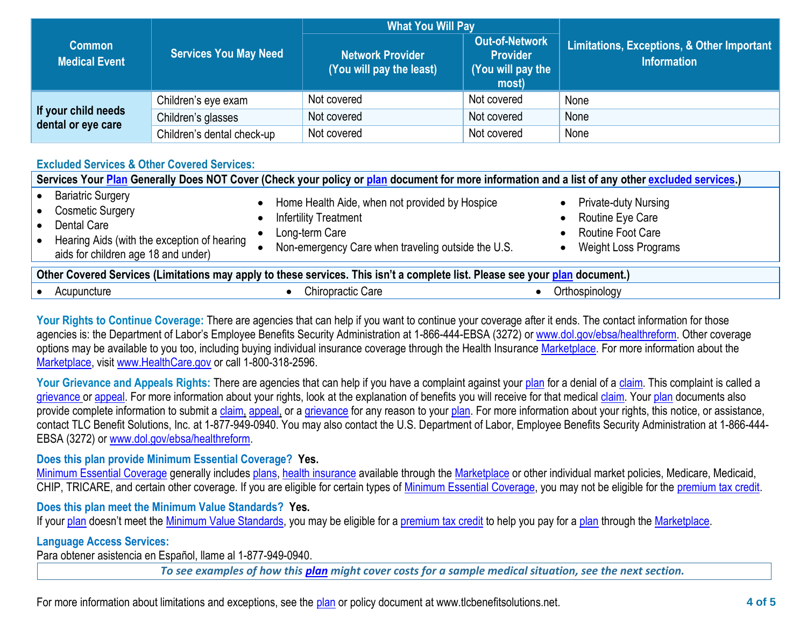|                                           | <b>Services You May Need</b> | <b>What You Will Pay</b>                     |                                                                 |                                                                  |
|-------------------------------------------|------------------------------|----------------------------------------------|-----------------------------------------------------------------|------------------------------------------------------------------|
| <b>Common</b><br><b>Medical Event</b>     |                              | Network Provider<br>(You will pay the least) | Out-of-Network<br><b>Provider</b><br>(You will pay the<br>most) | Limitations, Exceptions, & Other Important<br><b>Information</b> |
| If your child needs<br>dental or eye care | Children's eye exam          | Not covered                                  | Not covered                                                     | None                                                             |
|                                           | Children's glasses           | Not covered                                  | Not covered                                                     | None                                                             |
|                                           | Children's dental check-up   | Not covered                                  | Not covered                                                     | None                                                             |

# **Excluded Services & Other Covered Services:**

| Services Your Plan Generally Does NOT Cover (Check your policy or plan document for more information and a list of any other excluded services.)         |                                                                                                                                                        |                                                                                                     |  |  |  |
|----------------------------------------------------------------------------------------------------------------------------------------------------------|--------------------------------------------------------------------------------------------------------------------------------------------------------|-----------------------------------------------------------------------------------------------------|--|--|--|
| <b>Bariatric Surgery</b><br><b>Cosmetic Surgery</b><br>Dental Care<br>Hearing Aids (with the exception of hearing<br>aids for children age 18 and under) | Home Health Aide, when not provided by Hospice<br><b>Infertility Treatment</b><br>Long-term Care<br>Non-emergency Care when traveling outside the U.S. | <b>Private-duty Nursing</b><br>Routine Eye Care<br>Routine Foot Care<br><b>Weight Loss Programs</b> |  |  |  |
| Other Covered Services (Limitations may apply to these services. This isn't a complete list. Please see your plan document.)                             |                                                                                                                                                        |                                                                                                     |  |  |  |
| Acupuncture                                                                                                                                              | Chiropractic Care                                                                                                                                      | Orthospinology                                                                                      |  |  |  |

Your Rights to Continue Coverage: There are agencies that can help if you want to continue your coverage after it ends. The contact information for those agencies is: the Department of Labor's Employee Benefits Security Administration at 1-866-444-EBSA (3272) or [www.dol.gov/ebsa/healthreform.](http://www.dol.gov/ebsa/healthreform) Other coverage options may be available to you too, including buying individual insurance coverage through the Health Insurance [Marketplace.](https://www.healthcare.gov/sbc-glossary/#marketplace) For more information about the [Marketplace,](https://www.healthcare.gov/sbc-glossary/#marketplace) visit [www.HealthCare.gov](http://www.healthcare.gov/) or call 1-800-318-2596.

Your Grievance and Appeals Rights: There are agencies that can help if you have a complaint against your [plan](https://www.healthcare.gov/sbc-glossary/#plan) for a denial of a [claim.](https://www.healthcare.gov/sbc-glossary/#claim) This complaint is called a [grievance](https://www.healthcare.gov/sbc-glossary/#grievance) or [appeal.](https://www.healthcare.gov/sbc-glossary/#appeal) For more information about your rights, look at the explanation of benefits you will receive for that medica[l claim.](https://www.healthcare.gov/sbc-glossary/#claim) Your [plan](https://www.healthcare.gov/sbc-glossary/#plan) documents also provide complete information to submit a [claim,](https://www.healthcare.gov/sbc-glossary/#claim) [appeal,](https://www.healthcare.gov/sbc-glossary/#appeal) or a [grievance](https://www.healthcare.gov/sbc-glossary/#grievance) for any reason to your [plan.](https://www.healthcare.gov/sbc-glossary/#plan) For more information about your rights, this notice, or assistance, contact TLC Benefit Solutions, Inc. at 1-877-949-0940. You may also contact the U.S. Department of Labor, Employee Benefits Security Administration at 1-866-444- EBSA (3272) or [www.dol.gov/ebsa/healthreform.](http://www.dol.gov/ebsa/healthreform)

### **Does this plan provide Minimum Essential Coverage? Yes.**

[Minimum Essential Coverage](https://www.healthcare.gov/sbc-glossary/#minimum-essential-coverage) generally includes [plans,](https://www.healthcare.gov/sbc-glossary/#plan) [health insurance](https://www.healthcare.gov/sbc-glossary/#health-insurance) available through the [Marketplace](https://www.healthcare.gov/sbc-glossary/#marketplace) or other individual market policies, Medicare, Medicaid, CHIP, TRICARE, and certain other coverage. If you are eligible for certain types of [Minimum Essential Coverage,](https://www.healthcare.gov/sbc-glossary/#minimum-essential-coverage) you may not be eligible for the [premium tax credit.](https://www.healthcare.gov/sbc-glossary/#premium-tax-credits)

# **Does this plan meet the Minimum Value Standards? Yes.**

If your [plan](https://www.healthcare.gov/sbc-glossary/#plan) doesn't meet the [Minimum Value Standards,](https://www.healthcare.gov/sbc-glossary/#minimum-value-standard) you may be eligible for a [premium tax credit](https://www.healthcare.gov/sbc-glossary/#premium-tax-credits) to help you pay for a plan through the [Marketplace.](https://www.healthcare.gov/sbc-glossary/#marketplace)

### **Language Access Services:**

Para obtener asistencia en Español, llame al 1-877-949-0940.

*To see examples of how this [plan](https://www.healthcare.gov/sbc-glossary/#plan) might cover costs for a sample medical situation, see the next section.*

For more information about limitations and exceptions, see the [plan](https://www.healthcare.gov/sbc-glossary/#plan) or policy document at www.tlcbenefitsolutions.net. **4 of 5**